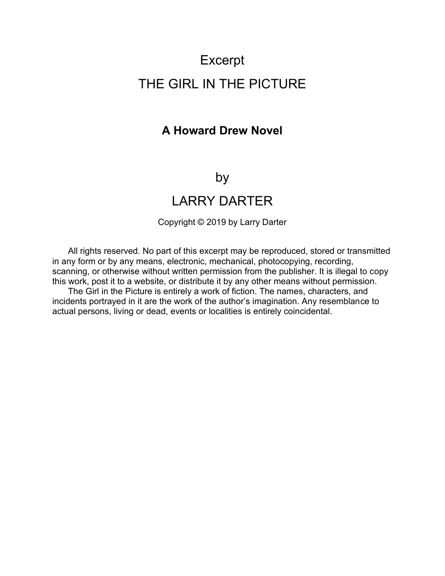## Excerpt THE GIRL IN THE PICTURE

## **A Howard Drew Novel**

## by

## LARRY DARTER

Copyright © 2019 by Larry Darter

All rights reserved. No part of this excerpt may be reproduced, stored or transmitted in any form or by any means, electronic, mechanical, photocopying, recording, scanning, or otherwise without written permission from the publisher. It is illegal to copy this work, post it to a website, or distribute it by any other means without permission.

The Girl in the Picture is entirely a work of fiction. The names, characters, and incidents portrayed in it are the work of the author's imagination. Any resemblance to actual persons, living or dead, events or localities is entirely coincidental.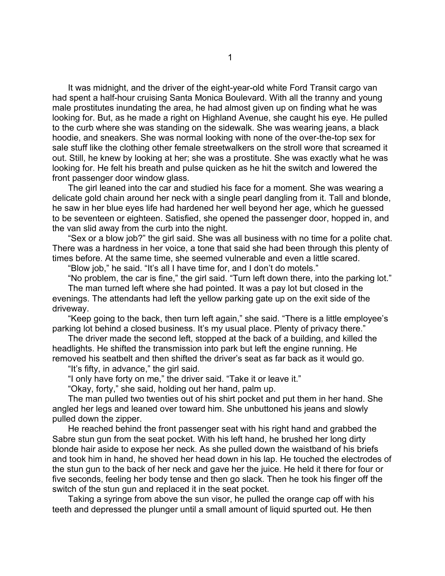It was midnight, and the driver of the eight-year-old white Ford Transit cargo van had spent a half-hour cruising Santa Monica Boulevard. With all the tranny and young male prostitutes inundating the area, he had almost given up on finding what he was looking for. But, as he made a right on Highland Avenue, she caught his eye. He pulled to the curb where she was standing on the sidewalk. She was wearing jeans, a black hoodie, and sneakers. She was normal looking with none of the over-the-top sex for sale stuff like the clothing other female streetwalkers on the stroll wore that screamed it out. Still, he knew by looking at her; she was a prostitute. She was exactly what he was looking for. He felt his breath and pulse quicken as he hit the switch and lowered the front passenger door window glass.

The girl leaned into the car and studied his face for a moment. She was wearing a delicate gold chain around her neck with a single pearl dangling from it. Tall and blonde, he saw in her blue eyes life had hardened her well beyond her age, which he guessed to be seventeen or eighteen. Satisfied, she opened the passenger door, hopped in, and the van slid away from the curb into the night.

"Sex or a blow job?" the girl said. She was all business with no time for a polite chat. There was a hardness in her voice, a tone that said she had been through this plenty of times before. At the same time, she seemed vulnerable and even a little scared.

"Blow job," he said. "It's all I have time for, and I don't do motels."

"No problem, the car is fine," the girl said. "Turn left down there, into the parking lot."

The man turned left where she had pointed. It was a pay lot but closed in the evenings. The attendants had left the yellow parking gate up on the exit side of the driveway.

"Keep going to the back, then turn left again," she said. "There is a little employee's parking lot behind a closed business. It's my usual place. Plenty of privacy there."

The driver made the second left, stopped at the back of a building, and killed the headlights. He shifted the transmission into park but left the engine running. He removed his seatbelt and then shifted the driver's seat as far back as it would go.

"It's fifty, in advance," the girl said.

"I only have forty on me," the driver said. "Take it or leave it."

"Okay, forty," she said, holding out her hand, palm up.

The man pulled two twenties out of his shirt pocket and put them in her hand. She angled her legs and leaned over toward him. She unbuttoned his jeans and slowly pulled down the zipper.

He reached behind the front passenger seat with his right hand and grabbed the Sabre stun gun from the seat pocket. With his left hand, he brushed her long dirty blonde hair aside to expose her neck. As she pulled down the waistband of his briefs and took him in hand, he shoved her head down in his lap. He touched the electrodes of the stun gun to the back of her neck and gave her the juice. He held it there for four or five seconds, feeling her body tense and then go slack. Then he took his finger off the switch of the stun gun and replaced it in the seat pocket.

Taking a syringe from above the sun visor, he pulled the orange cap off with his teeth and depressed the plunger until a small amount of liquid spurted out. He then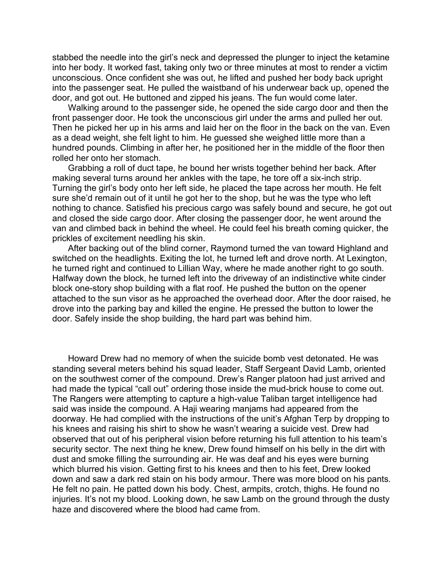stabbed the needle into the girl's neck and depressed the plunger to inject the ketamine into her body. It worked fast, taking only two or three minutes at most to render a victim unconscious. Once confident she was out, he lifted and pushed her body back upright into the passenger seat. He pulled the waistband of his underwear back up, opened the door, and got out. He buttoned and zipped his jeans. The fun would come later.

Walking around to the passenger side, he opened the side cargo door and then the front passenger door. He took the unconscious girl under the arms and pulled her out. Then he picked her up in his arms and laid her on the floor in the back on the van. Even as a dead weight, she felt light to him. He guessed she weighed little more than a hundred pounds. Climbing in after her, he positioned her in the middle of the floor then rolled her onto her stomach.

Grabbing a roll of duct tape, he bound her wrists together behind her back. After making several turns around her ankles with the tape, he tore off a six-inch strip. Turning the girl's body onto her left side, he placed the tape across her mouth. He felt sure she'd remain out of it until he got her to the shop, but he was the type who left nothing to chance. Satisfied his precious cargo was safely bound and secure, he got out and closed the side cargo door. After closing the passenger door, he went around the van and climbed back in behind the wheel. He could feel his breath coming quicker, the prickles of excitement needling his skin.

After backing out of the blind corner, Raymond turned the van toward Highland and switched on the headlights. Exiting the lot, he turned left and drove north. At Lexington, he turned right and continued to Lillian Way, where he made another right to go south. Halfway down the block, he turned left into the driveway of an indistinctive white cinder block one-story shop building with a flat roof. He pushed the button on the opener attached to the sun visor as he approached the overhead door. After the door raised, he drove into the parking bay and killed the engine. He pressed the button to lower the door. Safely inside the shop building, the hard part was behind him.

Howard Drew had no memory of when the suicide bomb vest detonated. He was standing several meters behind his squad leader, Staff Sergeant David Lamb, oriented on the southwest corner of the compound. Drew's Ranger platoon had just arrived and had made the typical "call out" ordering those inside the mud-brick house to come out. The Rangers were attempting to capture a high-value Taliban target intelligence had said was inside the compound. A Haji wearing manjams had appeared from the doorway. He had complied with the instructions of the unit's Afghan Terp by dropping to his knees and raising his shirt to show he wasn't wearing a suicide vest. Drew had observed that out of his peripheral vision before returning his full attention to his team's security sector. The next thing he knew, Drew found himself on his belly in the dirt with dust and smoke filling the surrounding air. He was deaf and his eyes were burning which blurred his vision. Getting first to his knees and then to his feet, Drew looked down and saw a dark red stain on his body armour. There was more blood on his pants. He felt no pain. He patted down his body. Chest, armpits, crotch, thighs. He found no injuries. It's not my blood. Looking down, he saw Lamb on the ground through the dusty haze and discovered where the blood had came from.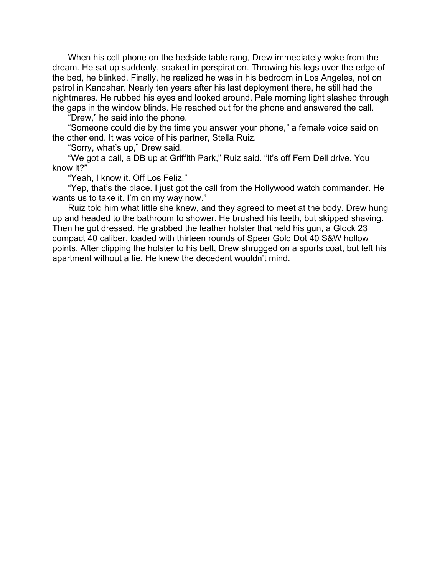When his cell phone on the bedside table rang, Drew immediately woke from the dream. He sat up suddenly, soaked in perspiration. Throwing his legs over the edge of the bed, he blinked. Finally, he realized he was in his bedroom in Los Angeles, not on patrol in Kandahar. Nearly ten years after his last deployment there, he still had the nightmares. He rubbed his eyes and looked around. Pale morning light slashed through the gaps in the window blinds. He reached out for the phone and answered the call.

"Drew," he said into the phone.

"Someone could die by the time you answer your phone," a female voice said on the other end. It was voice of his partner, Stella Ruiz.

"Sorry, what's up," Drew said.

"We got a call, a DB up at Griffith Park," Ruiz said. "It's off Fern Dell drive. You know it?"

"Yeah, I know it. Off Los Feliz."

"Yep, that's the place. I just got the call from the Hollywood watch commander. He wants us to take it. I'm on my way now."

Ruiz told him what little she knew, and they agreed to meet at the body. Drew hung up and headed to the bathroom to shower. He brushed his teeth, but skipped shaving. Then he got dressed. He grabbed the leather holster that held his gun, a Glock 23 compact 40 caliber, loaded with thirteen rounds of Speer Gold Dot 40 S&W hollow points. After clipping the holster to his belt, Drew shrugged on a sports coat, but left his apartment without a tie. He knew the decedent wouldn't mind.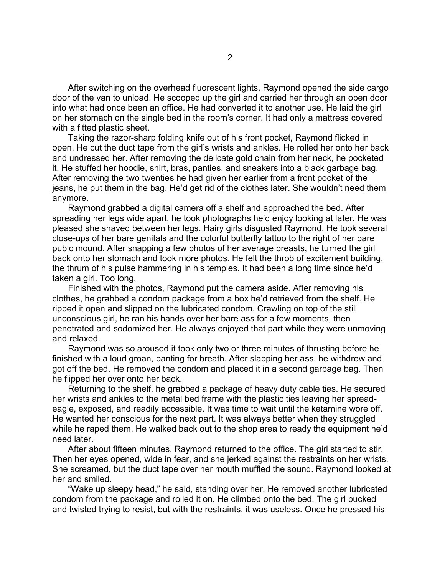After switching on the overhead fluorescent lights, Raymond opened the side cargo door of the van to unload. He scooped up the girl and carried her through an open door into what had once been an office. He had converted it to another use. He laid the girl on her stomach on the single bed in the room's corner. It had only a mattress covered with a fitted plastic sheet.

Taking the razor-sharp folding knife out of his front pocket, Raymond flicked in open. He cut the duct tape from the girl's wrists and ankles. He rolled her onto her back and undressed her. After removing the delicate gold chain from her neck, he pocketed it. He stuffed her hoodie, shirt, bras, panties, and sneakers into a black garbage bag. After removing the two twenties he had given her earlier from a front pocket of the jeans, he put them in the bag. He'd get rid of the clothes later. She wouldn't need them anymore.

Raymond grabbed a digital camera off a shelf and approached the bed. After spreading her legs wide apart, he took photographs he'd enjoy looking at later. He was pleased she shaved between her legs. Hairy girls disgusted Raymond. He took several close-ups of her bare genitals and the colorful butterfly tattoo to the right of her bare pubic mound. After snapping a few photos of her average breasts, he turned the girl back onto her stomach and took more photos. He felt the throb of excitement building, the thrum of his pulse hammering in his temples. It had been a long time since he'd taken a girl. Too long.

Finished with the photos, Raymond put the camera aside. After removing his clothes, he grabbed a condom package from a box he'd retrieved from the shelf. He ripped it open and slipped on the lubricated condom. Crawling on top of the still unconscious girl, he ran his hands over her bare ass for a few moments, then penetrated and sodomized her. He always enjoyed that part while they were unmoving and relaxed.

Raymond was so aroused it took only two or three minutes of thrusting before he finished with a loud groan, panting for breath. After slapping her ass, he withdrew and got off the bed. He removed the condom and placed it in a second garbage bag. Then he flipped her over onto her back.

Returning to the shelf, he grabbed a package of heavy duty cable ties. He secured her wrists and ankles to the metal bed frame with the plastic ties leaving her spreadeagle, exposed, and readily accessible. It was time to wait until the ketamine wore off. He wanted her conscious for the next part. It was always better when they struggled while he raped them. He walked back out to the shop area to ready the equipment he'd need later.

After about fifteen minutes, Raymond returned to the office. The girl started to stir. Then her eyes opened, wide in fear, and she jerked against the restraints on her wrists. She screamed, but the duct tape over her mouth muffled the sound. Raymond looked at her and smiled.

"Wake up sleepy head," he said, standing over her. He removed another lubricated condom from the package and rolled it on. He climbed onto the bed. The girl bucked and twisted trying to resist, but with the restraints, it was useless. Once he pressed his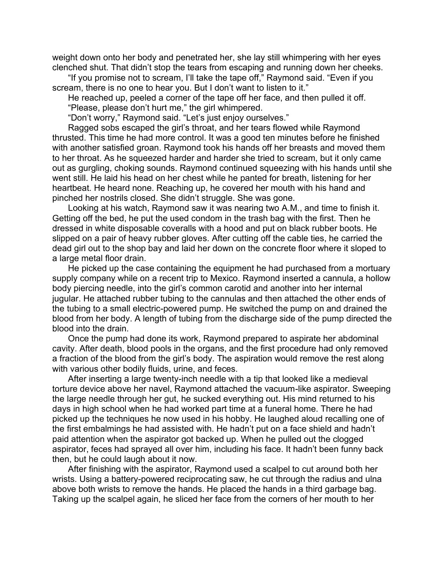weight down onto her body and penetrated her, she lay still whimpering with her eyes clenched shut. That didn't stop the tears from escaping and running down her cheeks.

"If you promise not to scream, I'll take the tape off," Raymond said. "Even if you scream, there is no one to hear you. But I don't want to listen to it."

He reached up, peeled a corner of the tape off her face, and then pulled it off. "Please, please don't hurt me," the girl whimpered.

"Don't worry," Raymond said. "Let's just enjoy ourselves."

Ragged sobs escaped the girl's throat, and her tears flowed while Raymond thrusted. This time he had more control. It was a good ten minutes before he finished with another satisfied groan. Raymond took his hands off her breasts and moved them to her throat. As he squeezed harder and harder she tried to scream, but it only came out as gurgling, choking sounds. Raymond continued squeezing with his hands until she went still. He laid his head on her chest while he panted for breath, listening for her heartbeat. He heard none. Reaching up, he covered her mouth with his hand and pinched her nostrils closed. She didn't struggle. She was gone.

Looking at his watch, Raymond saw it was nearing two A.M., and time to finish it. Getting off the bed, he put the used condom in the trash bag with the first. Then he dressed in white disposable coveralls with a hood and put on black rubber boots. He slipped on a pair of heavy rubber gloves. After cutting off the cable ties, he carried the dead girl out to the shop bay and laid her down on the concrete floor where it sloped to a large metal floor drain.

He picked up the case containing the equipment he had purchased from a mortuary supply company while on a recent trip to Mexico. Raymond inserted a cannula, a hollow body piercing needle, into the girl's common carotid and another into her internal jugular. He attached rubber tubing to the cannulas and then attached the other ends of the tubing to a small electric-powered pump. He switched the pump on and drained the blood from her body. A length of tubing from the discharge side of the pump directed the blood into the drain.

Once the pump had done its work, Raymond prepared to aspirate her abdominal cavity. After death, blood pools in the organs, and the first procedure had only removed a fraction of the blood from the girl's body. The aspiration would remove the rest along with various other bodily fluids, urine, and feces.

After inserting a large twenty-inch needle with a tip that looked like a medieval torture device above her navel, Raymond attached the vacuum-like aspirator. Sweeping the large needle through her gut, he sucked everything out. His mind returned to his days in high school when he had worked part time at a funeral home. There he had picked up the techniques he now used in his hobby. He laughed aloud recalling one of the first embalmings he had assisted with. He hadn't put on a face shield and hadn't paid attention when the aspirator got backed up. When he pulled out the clogged aspirator, feces had sprayed all over him, including his face. It hadn't been funny back then, but he could laugh about it now.

After finishing with the aspirator, Raymond used a scalpel to cut around both her wrists. Using a battery-powered reciprocating saw, he cut through the radius and ulna above both wrists to remove the hands. He placed the hands in a third garbage bag. Taking up the scalpel again, he sliced her face from the corners of her mouth to her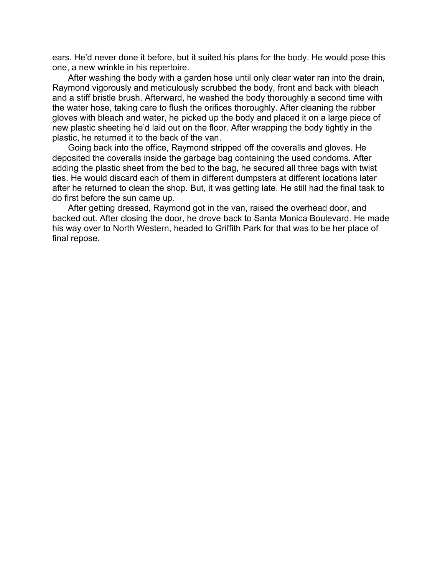ears. He'd never done it before, but it suited his plans for the body. He would pose this one, a new wrinkle in his repertoire.

After washing the body with a garden hose until only clear water ran into the drain, Raymond vigorously and meticulously scrubbed the body, front and back with bleach and a stiff bristle brush. Afterward, he washed the body thoroughly a second time with the water hose, taking care to flush the orifices thoroughly. After cleaning the rubber gloves with bleach and water, he picked up the body and placed it on a large piece of new plastic sheeting he'd laid out on the floor. After wrapping the body tightly in the plastic, he returned it to the back of the van.

Going back into the office, Raymond stripped off the coveralls and gloves. He deposited the coveralls inside the garbage bag containing the used condoms. After adding the plastic sheet from the bed to the bag, he secured all three bags with twist ties. He would discard each of them in different dumpsters at different locations later after he returned to clean the shop. But, it was getting late. He still had the final task to do first before the sun came up.

After getting dressed, Raymond got in the van, raised the overhead door, and backed out. After closing the door, he drove back to Santa Monica Boulevard. He made his way over to North Western, headed to Griffith Park for that was to be her place of final repose.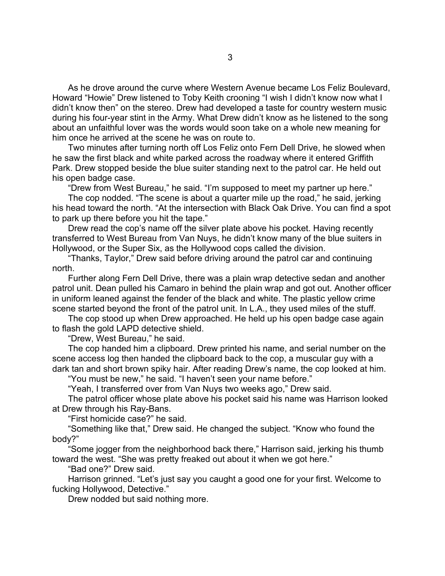As he drove around the curve where Western Avenue became Los Feliz Boulevard, Howard "Howie" Drew listened to Toby Keith crooning "I wish I didn't know now what I didn't know then" on the stereo. Drew had developed a taste for country western music during his four-year stint in the Army. What Drew didn't know as he listened to the song about an unfaithful lover was the words would soon take on a whole new meaning for him once he arrived at the scene he was on route to.

Two minutes after turning north off Los Feliz onto Fern Dell Drive, he slowed when he saw the first black and white parked across the roadway where it entered Griffith Park. Drew stopped beside the blue suiter standing next to the patrol car. He held out his open badge case.

"Drew from West Bureau," he said. "I'm supposed to meet my partner up here."

The cop nodded. "The scene is about a quarter mile up the road," he said, jerking his head toward the north. "At the intersection with Black Oak Drive. You can find a spot to park up there before you hit the tape."

Drew read the cop's name off the silver plate above his pocket. Having recently transferred to West Bureau from Van Nuys, he didn't know many of the blue suiters in Hollywood, or the Super Six, as the Hollywood cops called the division.

"Thanks, Taylor," Drew said before driving around the patrol car and continuing north.

Further along Fern Dell Drive, there was a plain wrap detective sedan and another patrol unit. Dean pulled his Camaro in behind the plain wrap and got out. Another officer in uniform leaned against the fender of the black and white. The plastic yellow crime scene started beyond the front of the patrol unit. In L.A., they used miles of the stuff.

The cop stood up when Drew approached. He held up his open badge case again to flash the gold LAPD detective shield.

"Drew, West Bureau," he said.

The cop handed him a clipboard. Drew printed his name, and serial number on the scene access log then handed the clipboard back to the cop, a muscular guy with a dark tan and short brown spiky hair. After reading Drew's name, the cop looked at him.

"You must be new," he said. "I haven't seen your name before."

"Yeah, I transferred over from Van Nuys two weeks ago," Drew said.

The patrol officer whose plate above his pocket said his name was Harrison looked at Drew through his Ray-Bans.

"First homicide case?" he said.

"Something like that," Drew said. He changed the subject. "Know who found the body?"

"Some jogger from the neighborhood back there," Harrison said, jerking his thumb toward the west. "She was pretty freaked out about it when we got here."

"Bad one?" Drew said.

Harrison grinned. "Let's just say you caught a good one for your first. Welcome to fucking Hollywood, Detective."

Drew nodded but said nothing more.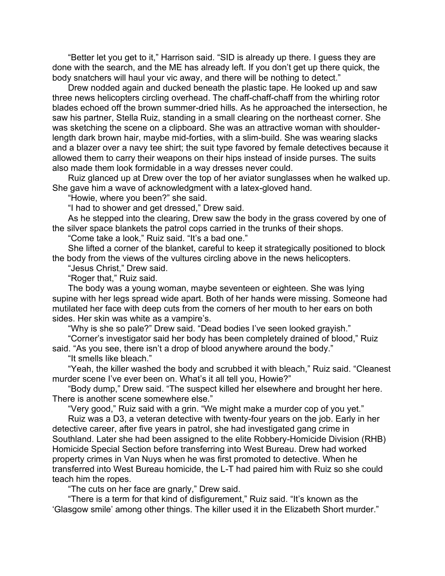"Better let you get to it," Harrison said. "SID is already up there. I guess they are done with the search, and the ME has already left. If you don't get up there quick, the body snatchers will haul your vic away, and there will be nothing to detect."

Drew nodded again and ducked beneath the plastic tape. He looked up and saw three news helicopters circling overhead. The chaff-chaff-chaff from the whirling rotor blades echoed off the brown summer-dried hills. As he approached the intersection, he saw his partner, Stella Ruiz, standing in a small clearing on the northeast corner. She was sketching the scene on a clipboard. She was an attractive woman with shoulderlength dark brown hair, maybe mid-forties, with a slim-build. She was wearing slacks and a blazer over a navy tee shirt; the suit type favored by female detectives because it allowed them to carry their weapons on their hips instead of inside purses. The suits also made them look formidable in a way dresses never could.

Ruiz glanced up at Drew over the top of her aviator sunglasses when he walked up. She gave him a wave of acknowledgment with a latex-gloved hand.

"Howie, where you been?" she said.

"I had to shower and get dressed," Drew said.

As he stepped into the clearing, Drew saw the body in the grass covered by one of the silver space blankets the patrol cops carried in the trunks of their shops.

"Come take a look," Ruiz said. "It's a bad one."

She lifted a corner of the blanket, careful to keep it strategically positioned to block the body from the views of the vultures circling above in the news helicopters.

"Jesus Christ," Drew said.

"Roger that," Ruiz said.

The body was a young woman, maybe seventeen or eighteen. She was lying supine with her legs spread wide apart. Both of her hands were missing. Someone had mutilated her face with deep cuts from the corners of her mouth to her ears on both sides. Her skin was white as a vampire's.

"Why is she so pale?" Drew said. "Dead bodies I've seen looked grayish."

"Corner's investigator said her body has been completely drained of blood," Ruiz said. "As you see, there isn't a drop of blood anywhere around the body."

"It smells like bleach."

"Yeah, the killer washed the body and scrubbed it with bleach," Ruiz said. "Cleanest murder scene I've ever been on. What's it all tell you, Howie?"

"Body dump," Drew said. "The suspect killed her elsewhere and brought her here. There is another scene somewhere else."

"Very good," Ruiz said with a grin. "We might make a murder cop of you yet."

Ruiz was a D3, a veteran detective with twenty-four years on the job. Early in her detective career, after five years in patrol, she had investigated gang crime in Southland. Later she had been assigned to the elite Robbery-Homicide Division (RHB) Homicide Special Section before transferring into West Bureau. Drew had worked property crimes in Van Nuys when he was first promoted to detective. When he transferred into West Bureau homicide, the L-T had paired him with Ruiz so she could teach him the ropes.

"The cuts on her face are gnarly," Drew said.

"There is a term for that kind of disfigurement," Ruiz said. "It's known as the 'Glasgow smile' among other things. The killer used it in the Elizabeth Short murder."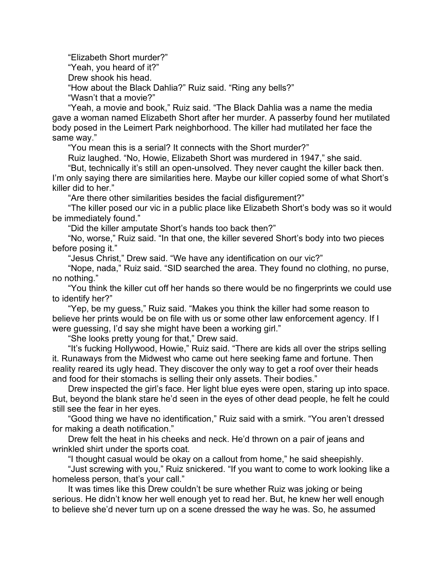"Elizabeth Short murder?"

"Yeah, you heard of it?"

Drew shook his head.

"How about the Black Dahlia?" Ruiz said. "Ring any bells?"

"Wasn't that a movie?"

"Yeah, a movie and book," Ruiz said. "The Black Dahlia was a name the media gave a woman named Elizabeth Short after her murder. A passerby found her mutilated body posed in the Leimert Park neighborhood. The killer had mutilated her face the same way."

"You mean this is a serial? It connects with the Short murder?"

Ruiz laughed. "No, Howie, Elizabeth Short was murdered in 1947," she said.

"But, technically it's still an open-unsolved. They never caught the killer back then. I'm only saying there are similarities here. Maybe our killer copied some of what Short's killer did to her."

"Are there other similarities besides the facial disfigurement?"

"The killer posed our vic in a public place like Elizabeth Short's body was so it would be immediately found."

"Did the killer amputate Short's hands too back then?"

"No, worse," Ruiz said. "In that one, the killer severed Short's body into two pieces before posing it."

"Jesus Christ," Drew said. "We have any identification on our vic?"

"Nope, nada," Ruiz said. "SID searched the area. They found no clothing, no purse, no nothing."

"You think the killer cut off her hands so there would be no fingerprints we could use to identify her?"

"Yep, be my guess," Ruiz said. "Makes you think the killer had some reason to believe her prints would be on file with us or some other law enforcement agency. If I were guessing, I'd say she might have been a working girl."

"She looks pretty young for that," Drew said.

"It's fucking Hollywood, Howie," Ruiz said. "There are kids all over the strips selling it. Runaways from the Midwest who came out here seeking fame and fortune. Then reality reared its ugly head. They discover the only way to get a roof over their heads and food for their stomachs is selling their only assets. Their bodies."

Drew inspected the girl's face. Her light blue eyes were open, staring up into space. But, beyond the blank stare he'd seen in the eyes of other dead people, he felt he could still see the fear in her eyes.

"Good thing we have no identification," Ruiz said with a smirk. "You aren't dressed for making a death notification."

Drew felt the heat in his cheeks and neck. He'd thrown on a pair of jeans and wrinkled shirt under the sports coat.

"I thought casual would be okay on a callout from home," he said sheepishly.

"Just screwing with you," Ruiz snickered. "If you want to come to work looking like a homeless person, that's your call."

It was times like this Drew couldn't be sure whether Ruiz was joking or being serious. He didn't know her well enough yet to read her. But, he knew her well enough to believe she'd never turn up on a scene dressed the way he was. So, he assumed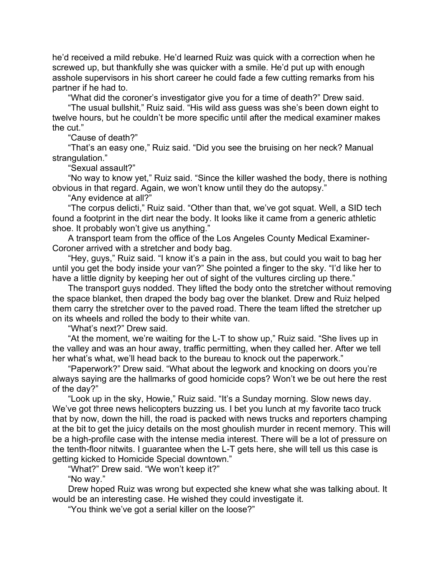he'd received a mild rebuke. He'd learned Ruiz was quick with a correction when he screwed up, but thankfully she was quicker with a smile. He'd put up with enough asshole supervisors in his short career he could fade a few cutting remarks from his partner if he had to.

"What did the coroner's investigator give you for a time of death?" Drew said.

"The usual bullshit," Ruiz said. "His wild ass guess was she's been down eight to twelve hours, but he couldn't be more specific until after the medical examiner makes the cut."

"Cause of death?"

"That's an easy one," Ruiz said. "Did you see the bruising on her neck? Manual strangulation."

"Sexual assault?"

"No way to know yet," Ruiz said. "Since the killer washed the body, there is nothing obvious in that regard. Again, we won't know until they do the autopsy."

"Any evidence at all?"

"The corpus delicti," Ruiz said. "Other than that, we've got squat. Well, a SID tech found a footprint in the dirt near the body. It looks like it came from a generic athletic shoe. It probably won't give us anything."

A transport team from the office of the Los Angeles County Medical Examiner-Coroner arrived with a stretcher and body bag.

"Hey, guys," Ruiz said. "I know it's a pain in the ass, but could you wait to bag her until you get the body inside your van?" She pointed a finger to the sky. "I'd like her to have a little dignity by keeping her out of sight of the vultures circling up there."

The transport guys nodded. They lifted the body onto the stretcher without removing the space blanket, then draped the body bag over the blanket. Drew and Ruiz helped them carry the stretcher over to the paved road. There the team lifted the stretcher up on its wheels and rolled the body to their white van.

"What's next?" Drew said.

"At the moment, we're waiting for the L-T to show up," Ruiz said. "She lives up in the valley and was an hour away, traffic permitting, when they called her. After we tell her what's what, we'll head back to the bureau to knock out the paperwork."

"Paperwork?" Drew said. "What about the legwork and knocking on doors you're always saying are the hallmarks of good homicide cops? Won't we be out here the rest of the day?"

"Look up in the sky, Howie," Ruiz said. "It's a Sunday morning. Slow news day. We've got three news helicopters buzzing us. I bet you lunch at my favorite taco truck that by now, down the hill, the road is packed with news trucks and reporters champing at the bit to get the juicy details on the most ghoulish murder in recent memory. This will be a high-profile case with the intense media interest. There will be a lot of pressure on the tenth-floor nitwits. I guarantee when the L-T gets here, she will tell us this case is getting kicked to Homicide Special downtown."

"What?" Drew said. "We won't keep it?"

"No way."

Drew hoped Ruiz was wrong but expected she knew what she was talking about. It would be an interesting case. He wished they could investigate it.

"You think we've got a serial killer on the loose?"